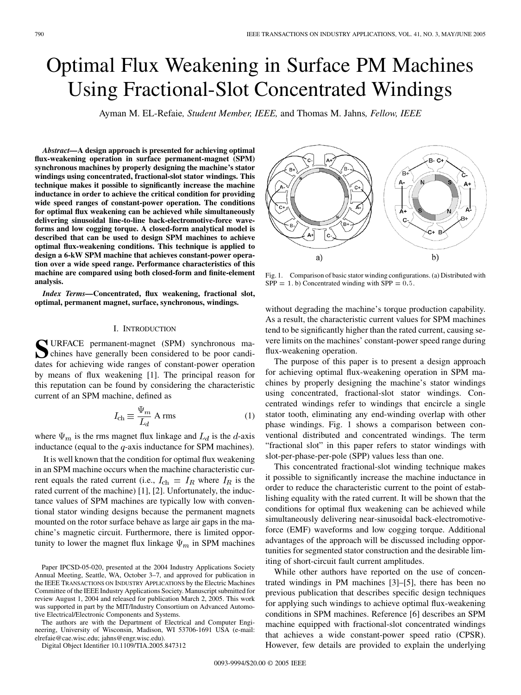# Optimal Flux Weakening in Surface PM Machines Using Fractional-Slot Concentrated Windings

Ayman M. EL-Refaie*, Student Member, IEEE,* and Thomas M. Jahns*, Fellow, IEEE*

*Abstract—***A design approach is presented for achieving optimal flux-weakening operation in surface permanent-magnet (SPM) synchronous machines by properly designing the machine's stator windings using concentrated, fractional-slot stator windings. This technique makes it possible to significantly increase the machine inductance in order to achieve the critical condition for providing wide speed ranges of constant-power operation. The conditions for optimal flux weakening can be achieved while simultaneously delivering sinusoidal line-to-line back-electromotive-force waveforms and low cogging torque. A closed-form analytical model is described that can be used to design SPM machines to achieve optimal flux-weakening conditions. This technique is applied to design a 6-kW SPM machine that achieves constant-power operation over a wide speed range. Performance characteristics of this machine are compared using both closed-form and finite-element analysis.**

*Index Terms—***Concentrated, flux weakening, fractional slot, optimal, permanent magnet, surface, synchronous, windings.**

## I. INTRODUCTION

**S**URFACE permanent-magnet (SPM) synchronous machines have generally been considered to be poor candidates for achieving wide ranges of constant-power operation by means of flux weakening [[1\]](#page-9-0). The principal reason for this reputation can be found by considering the characteristic current of an SPM machine, defined as

$$
I_{\rm ch} \equiv \frac{\Psi_m}{L_d} \text{ A rms} \tag{1}
$$

where  $\Psi_m$  is the rms magnet flux linkage and  $L_d$  is the d-axis inductance (equal to the  $q$ -axis inductance for SPM machines).

It is well known that the condition for optimal flux weakening in an SPM machine occurs when the machine characteristic current equals the rated current (i.e.,  $I_{ch} = I_R$  where  $I_R$  is the rated current of the machine) [[1\]](#page-9-0), [\[2](#page-9-0)]. Unfortunately, the inductance values of SPM machines are typically low with conventional stator winding designs because the permanent magnets mounted on the rotor surface behave as large air gaps in the machine's magnetic circuit. Furthermore, there is limited opportunity to lower the magnet flux linkage  $\Psi_m$  in SPM machines

Digital Object Identifier 10.1109/TIA.2005.847312

**B-C+** ŕB Δ. C+ A+  $b)$ a)

Fig. 1. Comparison of basic stator winding configurations. (a) Distributed with  $SPP = 1. b$ ) Concentrated winding with  $SPP = 0.5$ .

without degrading the machine's torque production capability. As a result, the characteristic current values for SPM machines tend to be significantly higher than the rated current, causing severe limits on the machines' constant-power speed range during flux-weakening operation.

The purpose of this paper is to present a design approach for achieving optimal flux-weakening operation in SPM machines by properly designing the machine's stator windings using concentrated, fractional-slot stator windings. Concentrated windings refer to windings that encircle a single stator tooth, eliminating any end-winding overlap with other phase windings. Fig. 1 shows a comparison between conventional distributed and concentrated windings. The term "fractional slot" in this paper refers to stator windings with slot-per-phase-per-pole (SPP) values less than one.

This concentrated fractional-slot winding technique makes it possible to significantly increase the machine inductance in order to reduce the characteristic current to the point of establishing equality with the rated current. It will be shown that the conditions for optimal flux weakening can be achieved while simultaneously delivering near-sinusoidal back-electromotiveforce (EMF) waveforms and low cogging torque. Additional advantages of the approach will be discussed including opportunities for segmented stator construction and the desirable limiting of short-circuit fault current amplitudes.

While other authors have reported on the use of concentrated windings in PM machines [[3\]](#page-9-0)–[\[5](#page-9-0)], there has been no previous publication that describes specific design techniques for applying such windings to achieve optimal flux-weakening conditions in SPM machines. Reference [\[6](#page-9-0)] describes an SPM machine equipped with fractional-slot concentrated windings that achieves a wide constant-power speed ratio (CPSR). However, few details are provided to explain the underlying



Paper IPCSD-05-020, presented at the 2004 Industry Applications Society Annual Meeting, Seattle, WA, October 3–7, and approved for publication in the IEEE TRANSACTIONS ON INDUSTRY APPLICATIONS by the Electric Machines Committee of the IEEE Industry Applications Society. Manuscript submitted for review August 1, 2004 and released for publication March 2, 2005. This work was supported in part by the MIT/Industry Consortium on Advanced Automotive Electrical/Electronic Components and Systems.

The authors are with the Department of Electrical and Computer Engineering, University of Wisconsin, Madison, WI 53706-1691 USA (e-mail: elrefaie@cae.wisc.edu; jahns@engr.wisc.edu).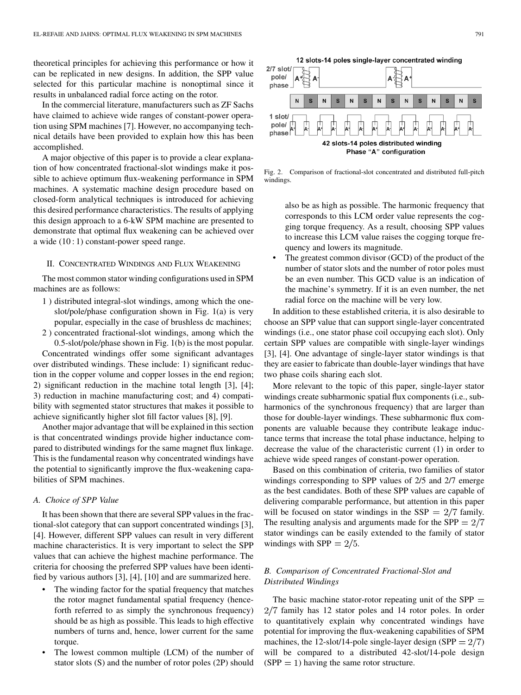theoretical principles for achieving this performance or how it can be replicated in new designs. In addition, the SPP value selected for this particular machine is nonoptimal since it results in unbalanced radial force acting on the rotor.

In the commercial literature, manufacturers such as ZF Sachs have claimed to achieve wide ranges of constant-power operation using SPM machines [\[7](#page-9-0)]. However, no accompanying technical details have been provided to explain how this has been accomplished.

A major objective of this paper is to provide a clear explanation of how concentrated fractional-slot windings make it possible to achieve optimum flux-weakening performance in SPM machines. A systematic machine design procedure based on closed-form analytical techniques is introduced for achieving this desired performance characteristics. The results of applying this design approach to a 6-kW SPM machine are presented to demonstrate that optimal flux weakening can be achieved over a wide (10 : 1) constant-power speed range.

## II. CONCENTRATED WINDINGS AND FLUX WEAKENING

The most common stator winding configurations used in SPM machines are as follows:

- 1 ) distributed integral-slot windings, among which the oneslot/pole/phase configuration shown in Fig. 1(a) is very popular, especially in the case of brushless dc machines;
- 2 ) concentrated fractional-slot windings, among which the 0.5-slot/pole/phase shown in Fig. 1(b) is the most popular.

Concentrated windings offer some significant advantages over distributed windings. These include: 1) significant reduction in the copper volume and copper losses in the end region; 2) significant reduction in the machine total length [[3\]](#page-9-0), [\[4](#page-9-0)]; 3) reduction in machine manufacturing cost; and 4) compatibility with segmented stator structures that makes it possible to achieve significantly higher slot fill factor values [[8\]](#page-9-0), [\[9](#page-9-0)].

Another major advantage that will be explained in this section is that concentrated windings provide higher inductance compared to distributed windings for the same magnet flux linkage. This is the fundamental reason why concentrated windings have the potential to significantly improve the flux-weakening capabilities of SPM machines.

## *A. Choice of SPP Value*

It has been shown that there are several SPP values in the fractional-slot category that can support concentrated windings [\[3](#page-9-0)], [\[4](#page-9-0)]. However, different SPP values can result in very different machine characteristics. It is very important to select the SPP values that can achieve the highest machine performance. The criteria for choosing the preferred SPP values have been identified by various authors [[3\]](#page-9-0), [\[4](#page-9-0)], [[10\]](#page-9-0) and are summarized here.

- The winding factor for the spatial frequency that matches the rotor magnet fundamental spatial frequency (henceforth referred to as simply the synchronous frequency) should be as high as possible. This leads to high effective numbers of turns and, hence, lower current for the same torque.
- The lowest common multiple (LCM) of the number of stator slots (S) and the number of rotor poles (2P) should



Fig. 2. Comparison of fractional-slot concentrated and distributed full-pitch windings.

also be as high as possible. The harmonic frequency that corresponds to this LCM order value represents the cogging torque frequency. As a result, choosing SPP values to increase this LCM value raises the cogging torque frequency and lowers its magnitude.

The greatest common divisor (GCD) of the product of the number of stator slots and the number of rotor poles must be an even number. This GCD value is an indication of the machine's symmetry. If it is an even number, the net radial force on the machine will be very low.

In addition to these established criteria, it is also desirable to choose an SPP value that can support single-layer concentrated windings (i.e., one stator phase coil occupying each slot). Only certain SPP values are compatible with single-layer windings [\[3](#page-9-0)], [[4\]](#page-9-0). One advantage of single-layer stator windings is that they are easier to fabricate than double-layer windings that have two phase coils sharing each slot.

More relevant to the topic of this paper, single-layer stator windings create subharmonic spatial flux components (i.e., subharmonics of the synchronous frequency) that are larger than those for double-layer windings. These subharmonic flux components are valuable because they contribute leakage inductance terms that increase the total phase inductance, helping to decrease the value of the characteristic current (1) in order to achieve wide speed ranges of constant-power operation.

Based on this combination of criteria, two families of stator windings corresponding to SPP values of 2/5 and 2/7 emerge as the best candidates. Both of these SPP values are capable of delivering comparable performance, but attention in this paper will be focused on stator windings in the SSP  $= 2/7$  family. The resulting analysis and arguments made for the  $SPP = 2/7$ stator windings can be easily extended to the family of stator windings with  $SPP = 2/5$ .

## *B. Comparison of Concentrated Fractional-Slot and Distributed Windings*

The basic machine stator-rotor repeating unit of the  $SPP =$  $2/7$  family has 12 stator poles and 14 rotor poles. In order to quantitatively explain why concentrated windings have potential for improving the flux-weakening capabilities of SPM machines, the 12-slot/14-pole single-layer design (SPP  $= 2/7$ ) will be compared to a distributed 42-slot/14-pole design  $(SPP = 1)$  having the same rotor structure.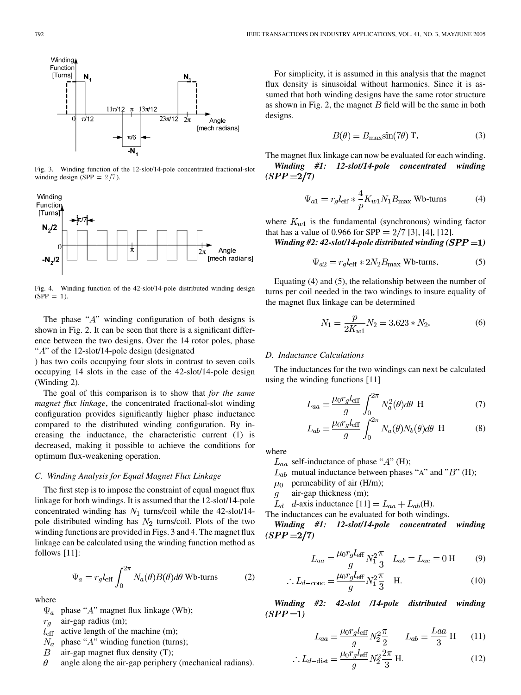

Fig. 3. Winding function of the 12-slot/14-pole concentrated fractional-slot winding design (SPP =  $2/7$ ).



Fig. 4. Winding function of the 42-slot/14-pole distributed winding design  $(SPP = 1)$ .

The phase " $A$ " winding configuration of both designs is shown in Fig. 2. It can be seen that there is a significant difference between the two designs. Over the 14 rotor poles, phase " $A$ " of the 12-slot/14-pole design (designated

) has two coils occupying four slots in contrast to seven coils occupying 14 slots in the case of the 42-slot/14-pole design (Winding 2).

The goal of this comparison is to show that *for the same magnet flux linkage*, the concentrated fractional-slot winding configuration provides significantly higher phase inductance compared to the distributed winding configuration. By increasing the inductance, the characteristic current (1) is decreased, making it possible to achieve the conditions for optimum flux-weakening operation.

## *C. Winding Analysis for Equal Magnet Flux Linkage*

The first step is to impose the constraint of equal magnet flux linkage for both windings. It is assumed that the 12-slot/14-pole concentrated winding has  $N_1$  turns/coil while the 42-slot/14pole distributed winding has  $N_2$  turns/coil. Plots of the two winding functions are provided in Figs. 3 and 4. The magnet flux linkage can be calculated using the winding function method as follows [[11\]](#page-9-0):

$$
\Psi_a = r_g l_{\text{eff}} \int_0^{2\pi} N_a(\theta) B(\theta) d\theta \text{ Wb-turns}
$$
 (2)

where

 $\Psi_a$  phase "A" magnet flux linkage (Wb);

air-gap radius (m);  $r_g$ 

- $l_{\text{eff}}$  active length of the machine (m);
- $N_a$  phase " $A$ " winding function (turns);
- $\boldsymbol{B}$ air-gap magnet flux density (T);
- $\theta$ angle along the air-gap periphery (mechanical radians).

For simplicity, it is assumed in this analysis that the magnet flux density is sinusoidal without harmonics. Since it is assumed that both winding designs have the same rotor structure as shown in Fig. 2, the magnet  $B$  field will be the same in both designs.

$$
B(\theta) = B_{\text{max}} \sin(7\theta) \text{ T.}
$$
 (3)

The magnet flux linkage can now be evaluated for each winding. *Winding #1: 12-slot/14-pole concentrated winding*  $(SPP = 2/7)$ 

$$
\Psi_{a1} = r_g l_{\text{eff}} * \frac{4}{p} K_{w1} N_1 B_{\text{max}} \text{ Wb-turns}
$$
 (4)

where  $K_{w1}$  is the fundamental (synchronous) winding factor that has a value of 0.966 for SPP  $= 2/7$  [\[3](#page-9-0)], [[4\]](#page-9-0), [[12\]](#page-9-0).

*Winding #2: 42-slot*/14-pole distributed winding  $(SPP = 1)$ 

$$
\Psi_{a2} = r_g l_{\text{eff}} * 2N_2 B_{\text{max}} \text{ Wb-turns.}
$$
 (5)

Equating (4) and (5), the relationship between the number of turns per coil needed in the two windings to insure equality of the magnet flux linkage can be determined

$$
N_1 = \frac{p}{2K_{w1}} N_2 = 3.623 * N_2. \tag{6}
$$

## *D. Inductance Calculations*

j

The inductances for the two windings can next be calculated using the winding functions [[11\]](#page-9-0)

$$
L_{aa} = \frac{\mu_0 r_g l_{\text{eff}}}{g} \int_0^{2\pi} N_a^2(\theta) d\theta \text{ H}
$$
 (7)

$$
L_{ab} = \frac{\mu_0 r_g l_{\text{eff}}}{g} \int_0^{2\pi} N_a(\theta) N_b(\theta) d\theta \text{ H}
$$
 (8)

where

- $L_{aa}$  self-inductance of phase " $A$ " (H);
- $L_{ab}$  mutual inductance between phases "A" and "B" (H);
- $\mu_0$  permeability of air (H/m);
- air-gap thickness (m);  $\mathfrak{g}$
- $L_d$  d-axis inductance [[11\]](#page-9-0) =  $L_{aa} + L_{ab}$ (H).
- The inductances can be evaluated for both windings.

*Winding #1: 12-slot/14-pole concentrated winding*  $(SPP = 2/7)$ 

$$
L_{aa} = \frac{\mu_0 r_g l_{\text{eff}}}{g} N_1^2 \frac{\pi}{3} \quad L_{ab} = L_{ac} = 0 \text{ H} \tag{9}
$$

$$
\therefore L_{d-\text{conc}} = \frac{\mu_0 r_g l_{\text{eff}}}{g} N_1^2 \frac{\pi}{3} \quad \text{H.}
$$
 (10)

*Winding #2: 42-slot /14-pole distributed winding*  $(SPP = 1)$ 

$$
L_{aa} = \frac{\mu_0 r_g l_{\text{eff}}}{g} N_2^2 \frac{\pi}{2} \qquad L_{ab} = \frac{Laa}{3} \text{ H} \tag{11}
$$

$$
\therefore L_{d-\text{dist}} = \frac{\mu_0 r_g l_{\text{eff}}}{g} N_2^2 \frac{2\pi}{3} \text{ H.}
$$
 (12)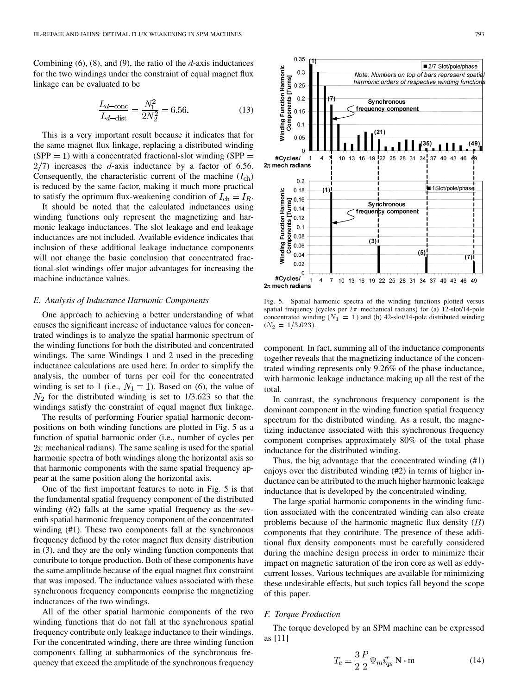Combining  $(6)$ ,  $(8)$ , and  $(9)$ , the ratio of the  $d$ -axis inductances for the two windings under the constraint of equal magnet flux linkage can be evaluated to be

$$
\frac{L_{d-\text{conc}}}{L_{d-\text{dist}}} = \frac{N_1^2}{2N_2^2} = 6.56. \tag{13}
$$

This is a very important result because it indicates that for the same magnet flux linkage, replacing a distributed winding  $(SPP = 1)$  with a concentrated fractional-slot winding  $(SPP = 1)$  $2/7$ ) increases the d-axis inductance by a factor of 6.56. Consequently, the characteristic current of the machine  $(I_{ch})$ is reduced by the same factor, making it much more practical to satisfy the optimum flux-weakening condition of  $I_{ch} = I_R$ .

It should be noted that the calculated inductances using winding functions only represent the magnetizing and harmonic leakage inductances. The slot leakage and end leakage inductances are not included. Available evidence indicates that inclusion of these additional leakage inductance components will not change the basic conclusion that concentrated fractional-slot windings offer major advantages for increasing the machine inductance values.

#### *E. Analysis of Inductance Harmonic Components*

One approach to achieving a better understanding of what causes the significant increase of inductance values for concentrated windings is to analyze the spatial harmonic spectrum of the winding functions for both the distributed and concentrated windings. The same Windings 1 and 2 used in the preceding inductance calculations are used here. In order to simplify the analysis, the number of turns per coil for the concentrated winding is set to 1 (i.e.,  $N_1 = 1$ ). Based on (6), the value of  $N_2$  for the distributed winding is set to 1/3.623 so that the windings satisfy the constraint of equal magnet flux linkage.

The results of performing Fourier spatial harmonic decompositions on both winding functions are plotted in Fig. 5 as a function of spatial harmonic order (i.e., number of cycles per  $2\pi$  mechanical radians). The same scaling is used for the spatial harmonic spectra of both windings along the horizontal axis so that harmonic components with the same spatial frequency appear at the same position along the horizontal axis.

One of the first important features to note in Fig. 5 is that the fundamental spatial frequency component of the distributed winding (#2) falls at the same spatial frequency as the seventh spatial harmonic frequency component of the concentrated winding (#1). These two components fall at the synchronous frequency defined by the rotor magnet flux density distribution in (3), and they are the only winding function components that contribute to torque production. Both of these components have the same amplitude because of the equal magnet flux constraint that was imposed. The inductance values associated with these synchronous frequency components comprise the magnetizing inductances of the two windings.

All of the other spatial harmonic components of the two winding functions that do not fall at the synchronous spatial frequency contribute only leakage inductance to their windings. For the concentrated winding, there are three winding function components falling at subharmonics of the synchronous frequency that exceed the amplitude of the synchronous frequency



Fig. 5. Spatial harmonic spectra of the winding functions plotted versus spatial frequency (cycles per  $2\pi$  mechanical radians) for (a) 12-slot/14-pole concentrated winding ( $N_1 = 1$ ) and (b) 42-slot/14-pole distributed winding  $(N_2 = 1/3.623)$ .

component. In fact, summing all of the inductance components together reveals that the magnetizing inductance of the concentrated winding represents only 9.26% of the phase inductance, with harmonic leakage inductance making up all the rest of the total.

In contrast, the synchronous frequency component is the dominant component in the winding function spatial frequency spectrum for the distributed winding. As a result, the magnetizing inductance associated with this synchronous frequency component comprises approximately 80% of the total phase inductance for the distributed winding.

Thus, the big advantage that the concentrated winding (#1) enjoys over the distributed winding (#2) in terms of higher inductance can be attributed to the much higher harmonic leakage inductance that is developed by the concentrated winding.

The large spatial harmonic components in the winding function associated with the concentrated winding can also create problems because of the harmonic magnetic flux density  $(B)$ components that they contribute. The presence of these additional flux density components must be carefully considered during the machine design process in order to minimize their impact on magnetic saturation of the iron core as well as eddycurrent losses. Various techniques are available for minimizing these undesirable effects, but such topics fall beyond the scope of this paper.

## *F. Torque Production*

The torque developed by an SPM machine can be expressed as [[11\]](#page-9-0)

$$
T_e = \frac{3}{2} \frac{P}{2} \Psi_m i_{qs}^r \text{ N} \cdot \text{m}
$$
 (14)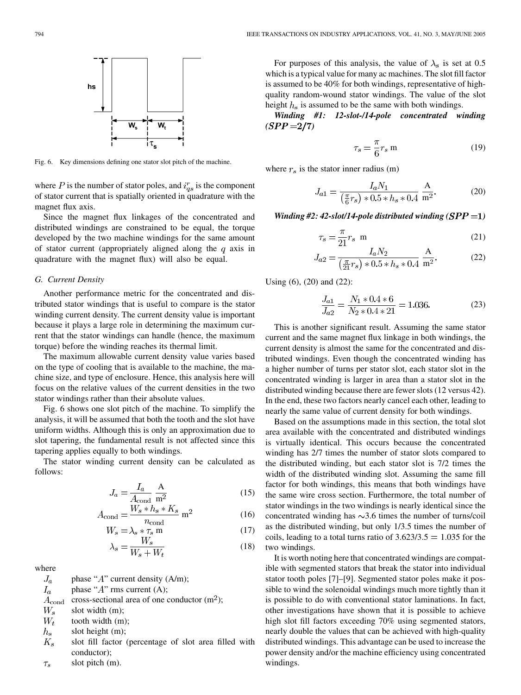

Fig. 6. Key dimensions defining one stator slot pitch of the machine.

where P is the number of stator poles, and  $i_{as}^r$  is the component of stator current that is spatially oriented in quadrature with the magnet flux axis.

Since the magnet flux linkages of the concentrated and distributed windings are constrained to be equal, the torque developed by the two machine windings for the same amount of stator current (appropriately aligned along the  $q$  axis in quadrature with the magnet flux) will also be equal.

## *G. Current Density*

Another performance metric for the concentrated and distributed stator windings that is useful to compare is the stator winding current density. The current density value is important because it plays a large role in determining the maximum current that the stator windings can handle (hence, the maximum torque) before the winding reaches its thermal limit.

The maximum allowable current density value varies based on the type of cooling that is available to the machine, the machine size, and type of enclosure. Hence, this analysis here will focus on the relative values of the current densities in the two stator windings rather than their absolute values.

Fig. 6 shows one slot pitch of the machine. To simplify the analysis, it will be assumed that both the tooth and the slot have uniform widths. Although this is only an approximation due to slot tapering, the fundamental result is not affected since this tapering applies equally to both windings.

The stator winding current density can be calculated as follows:

$$
J_a = \frac{I_a}{A_{\text{cond}}}\frac{A}{m^2} \tag{15}
$$

$$
A_{\text{cond}} = \frac{W_s * h_s * K_s}{n_{\text{cond}}} \text{ m}^2 \tag{16}
$$

$$
W_s = \lambda_s * \tau_s \text{ m}
$$
 (17)

$$
\lambda_s = \frac{W_s}{W_s + W_t} \tag{18}
$$

where

 $J_a$ phase " $A$ " current density (A/m); phase " $A$ " rms current  $(A)$ .  $I_{\epsilon}$ 

$$
a
$$
 phase A this current  $(A)$ ,

 $A_{\text{cond}}$  cross-sectional area of one conductor (m<sup>2</sup>);

 $W_{\rm s}$ slot width (m);

- $W_t$ tooth width (m);
- $h_{s}$ slot height (m);
- $K_s$ slot fill factor (percentage of slot area filled with conductor);
- slot pitch (m).  $\tau_s$

For purposes of this analysis, the value of  $\lambda_s$  is set at 0.5 which is a typical value for many ac machines. The slot fill factor is assumed to be 40% for both windings, representative of highquality random-wound stator windings. The value of the slot height  $h_s$  is assumed to be the same with both windings.

*Winding #1: 12-slot-/14-pole concentrated winding*  $(SPP = 2/7)$ 

$$
\tau_s = \frac{\pi}{6} r_s \text{ m} \tag{19}
$$

where  $r_s$  is the stator inner radius (m)

$$
J_{a1} = \frac{I_a N_1}{\left(\frac{\pi}{6}r_s\right) * 0.5 * h_s * 0.4} \frac{A}{m^2}.
$$
 (20)

*Winding #2: 42-slot*/14-pole distributed winding  $(SPP = 1)$ 

$$
\tau_s = \frac{\pi}{21} r_s \text{ m} \tag{21}
$$

$$
J_{a2} = \frac{I_a N_2}{\left(\frac{\pi}{21}r_s\right) * 0.5 * h_s * 0.4} \frac{A}{m^2}.
$$
 (22)

Using (6), (20) and (22):

$$
\frac{J_{a1}}{J_{a2}} = \frac{N_1 * 0.4 * 6}{N_2 * 0.4 * 21} = 1.036.
$$
 (23)

This is another significant result. Assuming the same stator current and the same magnet flux linkage in both windings, the current density is almost the same for the concentrated and distributed windings. Even though the concentrated winding has a higher number of turns per stator slot, each stator slot in the concentrated winding is larger in area than a stator slot in the distributed winding because there are fewer slots (12 versus 42). In the end, these two factors nearly cancel each other, leading to nearly the same value of current density for both windings.

Based on the assumptions made in this section, the total slot area available with the concentrated and distributed windings is virtually identical. This occurs because the concentrated winding has 2/7 times the number of stator slots compared to the distributed winding, but each stator slot is 7/2 times the width of the distributed winding slot. Assuming the same fill factor for both windings, this means that both windings have the same wire cross section. Furthermore, the total number of stator windings in the two windings is nearly identical since the concentrated winding has  $\sim$ 3.6 times the number of turns/coil as the distributed winding, but only 1/3.5 times the number of coils, leading to a total turns ratio of  $3.623/3.5 = 1.035$  for the two windings.

It is worth noting here that concentrated windings are compatible with segmented stators that break the stator into individual stator tooth poles [\[7\]](#page-9-0)–[[9\]](#page-9-0). Segmented stator poles make it possible to wind the solenoidal windings much more tightly than it is possible to do with conventional stator laminations. In fact, other investigations have shown that it is possible to achieve high slot fill factors exceeding 70% using segmented stators, nearly double the values that can be achieved with high-quality distributed windings. This advantage can be used to increase the power density and/or the machine efficiency using concentrated windings.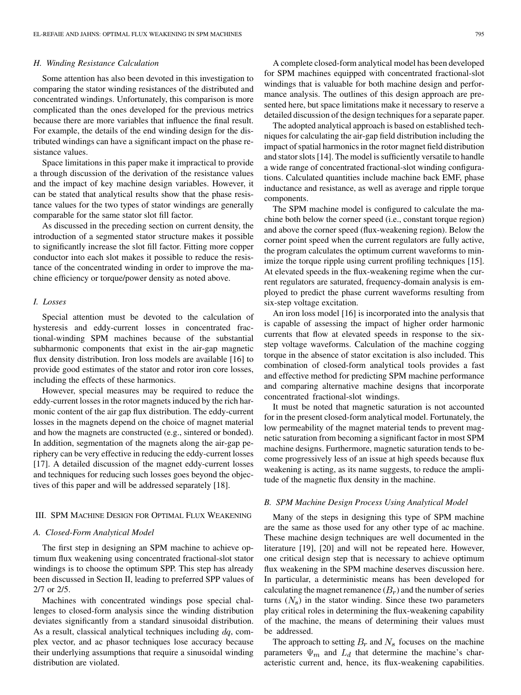## *H. Winding Resistance Calculation*

Some attention has also been devoted in this investigation to comparing the stator winding resistances of the distributed and concentrated windings. Unfortunately, this comparison is more complicated than the ones developed for the previous metrics because there are more variables that influence the final result. For example, the details of the end winding design for the distributed windings can have a significant impact on the phase resistance values.

Space limitations in this paper make it impractical to provide a through discussion of the derivation of the resistance values and the impact of key machine design variables. However, it can be stated that analytical results show that the phase resistance values for the two types of stator windings are generally comparable for the same stator slot fill factor.

As discussed in the preceding section on current density, the introduction of a segmented stator structure makes it possible to significantly increase the slot fill factor. Fitting more copper conductor into each slot makes it possible to reduce the resistance of the concentrated winding in order to improve the machine efficiency or torque/power density as noted above.

## *I. Losses*

Special attention must be devoted to the calculation of hysteresis and eddy-current losses in concentrated fractional-winding SPM machines because of the substantial subharmonic components that exist in the air-gap magnetic flux density distribution. Iron loss models are available [\[16](#page-10-0)] to provide good estimates of the stator and rotor iron core losses, including the effects of these harmonics.

However, special measures may be required to reduce the eddy-current losses in the rotor magnets induced by the rich harmonic content of the air gap flux distribution. The eddy-current losses in the magnets depend on the choice of magnet material and how the magnets are constructed (e.g., sintered or bonded). In addition, segmentation of the magnets along the air-gap periphery can be very effective in reducing the eddy-current losses [\[17](#page-10-0)]. A detailed discussion of the magnet eddy-current losses and techniques for reducing such losses goes beyond the objectives of this paper and will be addressed separately [[18\]](#page-10-0).

## III. SPM MACHINE DESIGN FOR OPTIMAL FLUX WEAKENING

#### *A. Closed-Form Analytical Model*

The first step in designing an SPM machine to achieve optimum flux weakening using concentrated fractional-slot stator windings is to choose the optimum SPP. This step has already been discussed in Section II, leading to preferred SPP values of 2/7 or 2/5.

Machines with concentrated windings pose special challenges to closed-form analysis since the winding distribution deviates significantly from a standard sinusoidal distribution. As a result, classical analytical techniques including  $dq$ , complex vector, and ac phasor techniques lose accuracy because their underlying assumptions that require a sinusoidal winding distribution are violated.

A complete closed-form analytical model has been developed for SPM machines equipped with concentrated fractional-slot windings that is valuable for both machine design and performance analysis. The outlines of this design approach are presented here, but space limitations make it necessary to reserve a detailed discussion of the design techniques for a separate paper.

The adopted analytical approach is based on established techniques for calculating the air-gap field distribution including the impact of spatial harmonics in the rotor magnet field distribution and stator slots [[14](#page-10-0)]. The model is sufficiently versatile to handle a wide range of concentrated fractional-slot winding configurations. Calculated quantities include machine back EMF, phase inductance and resistance, as well as average and ripple torque components.

The SPM machine model is configured to calculate the machine both below the corner speed (i.e., constant torque region) and above the corner speed (flux-weakening region). Below the corner point speed when the current regulators are fully active, the program calculates the optimum current waveforms to minimize the torque ripple using current profiling techniques [\[15](#page-10-0)]. At elevated speeds in the flux-weakening regime when the current regulators are saturated, frequency-domain analysis is employed to predict the phase current waveforms resulting from six-step voltage excitation.

An iron loss model [[16\]](#page-10-0) is incorporated into the analysis that is capable of assessing the impact of higher order harmonic currents that flow at elevated speeds in response to the sixstep voltage waveforms. Calculation of the machine cogging torque in the absence of stator excitation is also included. This combination of closed-form analytical tools provides a fast and effective method for predicting SPM machine performance and comparing alternative machine designs that incorporate concentrated fractional-slot windings.

It must be noted that magnetic saturation is not accounted for in the present closed-form analytical model. Fortunately, the low permeability of the magnet material tends to prevent magnetic saturation from becoming a significant factor in most SPM machine designs. Furthermore, magnetic saturation tends to become progressively less of an issue at high speeds because flux weakening is acting, as its name suggests, to reduce the amplitude of the magnetic flux density in the machine.

## *B. SPM Machine Design Process Using Analytical Model*

Many of the steps in designing this type of SPM machine are the same as those used for any other type of ac machine. These machine design techniques are well documented in the literature [\[19](#page-10-0)], [[20](#page-10-0)] and will not be repeated here. However, one critical design step that is necessary to achieve optimum flux weakening in the SPM machine deserves discussion here. In particular, a deterministic means has been developed for calculating the magnet remanence  $(B<sub>r</sub>)$  and the number of series turns  $(N_s)$  in the stator winding. Since these two parameters play critical roles in determining the flux-weakening capability of the machine, the means of determining their values must be addressed.

The approach to setting  $B_r$  and  $N_s$  focuses on the machine parameters  $\Psi_m$  and  $L_d$  that determine the machine's characteristic current and, hence, its flux-weakening capabilities.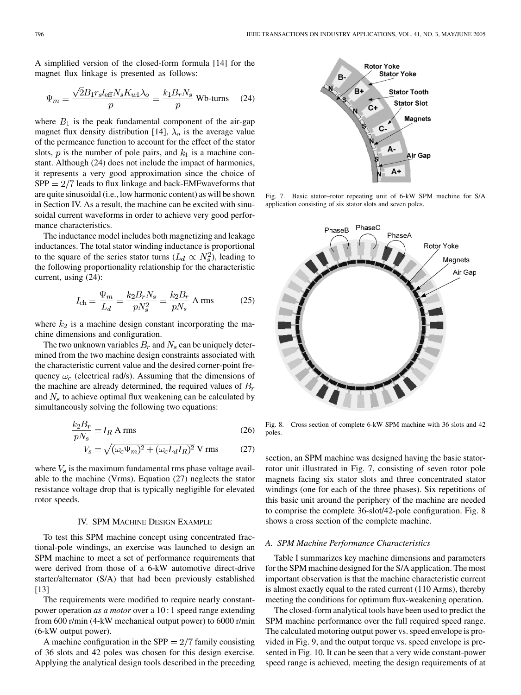A simplified version of the closed-form formula [[14\]](#page-10-0) for the magnet flux linkage is presented as follows:

$$
\Psi_m = \frac{\sqrt{2}B_1 r_s l_{\text{eff}} N_s K_{w1} \lambda_o}{p} = \frac{k_1 B_r N_s}{p} \text{ Wb-turns} \quad (24)
$$

where  $B_1$  is the peak fundamental component of the air-gap magnet flux density distribution [\[14](#page-10-0)],  $\lambda_o$  is the average value of the permeance function to account for the effect of the stator slots,  $p$  is the number of pole pairs, and  $k_1$  is a machine constant. Although (24) does not include the impact of harmonics, it represents a very good approximation since the choice of  $SPP = 2/7$  leads to flux linkage and back-EMFwaveforms that are quite sinusoidal (i.e., low harmonic content) as will be shown in Section IV. As a result, the machine can be excited with sinusoidal current waveforms in order to achieve very good performance characteristics.

The inductance model includes both magnetizing and leakage inductances. The total stator winding inductance is proportional to the square of the series stator turns  $(L_d \propto N_s^2)$ , leading to the following proportionality relationship for the characteristic current, using (24):

$$
I_{\rm ch} = \frac{\Psi_m}{L_d} = \frac{k_2 B_r N_s}{p N_s^2} = \frac{k_2 B_r}{p N_s} \text{ A rms}
$$
 (25)

where  $k_2$  is a machine design constant incorporating the machine dimensions and configuration.

The two unknown variables  $B_r$  and  $N_s$  can be uniquely determined from the two machine design constraints associated with the characteristic current value and the desired corner-point frequency  $\omega_c$  (electrical rad/s). Assuming that the dimensions of the machine are already determined, the required values of  $B<sub>r</sub>$ and  $N<sub>s</sub>$  to achieve optimal flux weakening can be calculated by simultaneously solving the following two equations:

$$
\frac{k_2 B_r}{p N_s} = I_R \text{ A rms} \tag{26}
$$

$$
V_s = \sqrt{(\omega_c \Psi_m)^2 + (\omega_c L_d I_R)^2} \text{ V rms}
$$
 (27)

where  $V_s$  is the maximum fundamental rms phase voltage available to the machine (Vrms). Equation (27) neglects the stator resistance voltage drop that is typically negligible for elevated rotor speeds.

## IV. SPM MACHINE DESIGN EXAMPLE

To test this SPM machine concept using concentrated fractional-pole windings, an exercise was launched to design an SPM machine to meet a set of performance requirements that were derived from those of a 6-kW automotive direct-drive starter/alternator (S/A) that had been previously established [[13\]](#page-9-0)

The requirements were modified to require nearly constantpower operation *as a motor* over a 10 : 1 speed range extending from 600 r/min (4-kW mechanical output power) to 6000 r/min (6-kW output power).

A machine configuration in the SPP  $= 2/7$  family consisting of 36 slots and 42 poles was chosen for this design exercise. Applying the analytical design tools described in the preceding



Fig. 7. Basic stator–rotor repeating unit of 6-kW SPM machine for S/A application consisting of six stator slots and seven poles.



Fig. 8. Cross section of complete 6-kW SPM machine with 36 slots and 42 poles.

section, an SPM machine was designed having the basic statorrotor unit illustrated in Fig. 7, consisting of seven rotor pole magnets facing six stator slots and three concentrated stator windings (one for each of the three phases). Six repetitions of this basic unit around the periphery of the machine are needed to comprise the complete 36-slot/42-pole configuration. Fig. 8 shows a cross section of the complete machine.

#### *A. SPM Machine Performance Characteristics*

Table I summarizes key machine dimensions and parameters for the SPM machine designed for the S/A application. The most important observation is that the machine characteristic current is almost exactly equal to the rated current (110 Arms), thereby meeting the conditions for optimum flux-weakening operation.

The closed-form analytical tools have been used to predict the SPM machine performance over the full required speed range. The calculated motoring output power vs. speed envelope is provided in Fig. 9, and the output torque vs. speed envelope is presented in Fig. 10. It can be seen that a very wide constant-power speed range is achieved, meeting the design requirements of at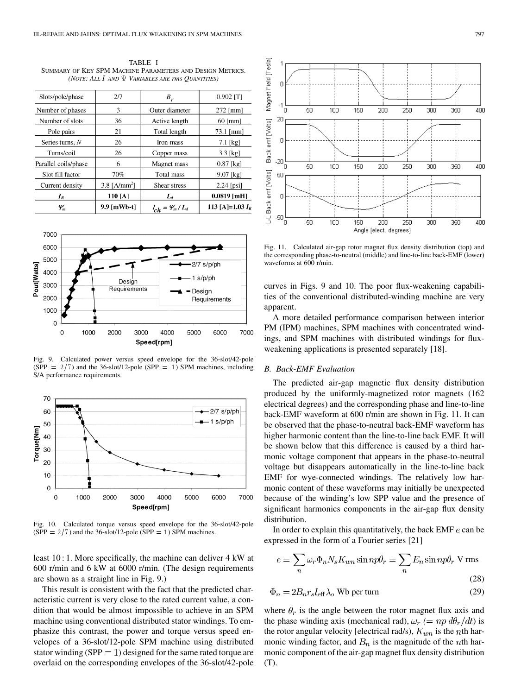TABLE I SUMMARY OF KEY SPM MACHINE PARAMETERS AND DESIGN METRICS. *(NOTE: ALL* I *AND VARIABLES ARE rms QUANTITIES)*

| Slots/pole/phase                 | 2/7            | $B_r$                         | $0.902$ [T]         |
|----------------------------------|----------------|-------------------------------|---------------------|
| Number of phases                 | 3              | Outer diameter                | $272$ [mm]          |
| Number of slots                  | 36             | Active length                 | $60$ [mm]           |
| Pole pairs                       | 21             | Total length                  | $73.1$ [mm]         |
| Series turns, $N$                | 26             | Iron mass                     | $7.1$ [kg]          |
| Turns/coil                       | 26             | Copper mass                   | $3.3$ [kg]          |
| Parallel coils/phase             | 6              | Magnet mass                   | $0.87$ [kg]         |
| Slot fill factor                 | 70%            | Total mass                    | $9.07$ [kg]         |
| Current density                  | 3.8 $[A/mm^2]$ | Shear stress                  | $2.24$ [psi]        |
| $I_R$                            | 110 [A]        | $L_d$                         | $0.0819$ [mH]       |
| $\varphi_{\scriptscriptstyle m}$ | 9.9 [mWb-t]    | $I_{ch} = \frac{\Psi_m}{L_d}$ | 113 [A]= $1.03 I_R$ |



Fig. 9. Calculated power versus speed envelope for the 36-slot/42-pole (SPP =  $2/7$ ) and the 36-slot/12-pole (SPP = 1) SPM machines, including S/A performance requirements.



Fig. 10. Calculated torque versus speed envelope for the 36-slot/42-pole (SPP =  $2/7$ ) and the 36-slot/12-pole (SPP = 1) SPM machines.

least 10 : 1. More specifically, the machine can deliver 4 kW at 600 r/min and 6 kW at 6000 r/min. (The design requirements are shown as a straight line in Fig. 9.)

This result is consistent with the fact that the predicted characteristic current is very close to the rated current value, a condition that would be almost impossible to achieve in an SPM machine using conventional distributed stator windings. To emphasize this contrast, the power and torque versus speed envelopes of a 36-slot/12-pole SPM machine using distributed stator winding (SPP  $= 1$ ) designed for the same rated torque are overlaid on the corresponding envelopes of the 36-slot/42-pole



Fig. 11. Calculated air-gap rotor magnet flux density distribution (top) and the corresponding phase-to-neutral (middle) and line-to-line back-EMF (lower) waveforms at 600 r/min.

curves in Figs. 9 and 10. The poor flux-weakening capabilities of the conventional distributed-winding machine are very apparent.

A more detailed performance comparison between interior PM (IPM) machines, SPM machines with concentrated windings, and SPM machines with distributed windings for fluxweakening applications is presented separately [[18\]](#page-10-0).

#### *B. Back-EMF Evaluation*

The predicted air-gap magnetic flux density distribution produced by the uniformly-magnetized rotor magnets (162 electrical degrees) and the corresponding phase and line-to-line back-EMF waveform at 600 r/min are shown in Fig. 11. It can be observed that the phase-to-neutral back-EMF waveform has higher harmonic content than the line-to-line back EMF. It will be shown below that this difference is caused by a third harmonic voltage component that appears in the phase-to-neutral voltage but disappears automatically in the line-to-line back EMF for wye-connected windings. The relatively low harmonic content of these waveforms may initially be unexpected because of the winding's low SPP value and the presence of significant harmonics components in the air-gap flux density distribution.

In order to explain this quantitatively, the back EMF  $e$  can be expressed in the form of a Fourier series [[21\]](#page-10-0)

$$
e = \sum_{n} \omega_r \Phi_n N_s K_{wn} \sin n p \theta_r = \sum_{n} E_n \sin n p \theta_r \text{ V rms}
$$
\n(28)

$$
\Phi_n = 2B_n r_s l_{\text{eff}} \lambda_o \text{ Wb per turn} \tag{29}
$$

where  $\theta_r$  is the angle between the rotor magnet flux axis and the phase winding axis (mechanical rad),  $\omega_r$  (=  $np \, d\theta_r/dt$ ) is the rotor angular velocity [electrical rad/s),  $K_{wn}$  is the nth harmonic winding factor, and  $B_n$  is the magnitude of the *n*th harmonic component of the air-gap magnet flux density distribution (T).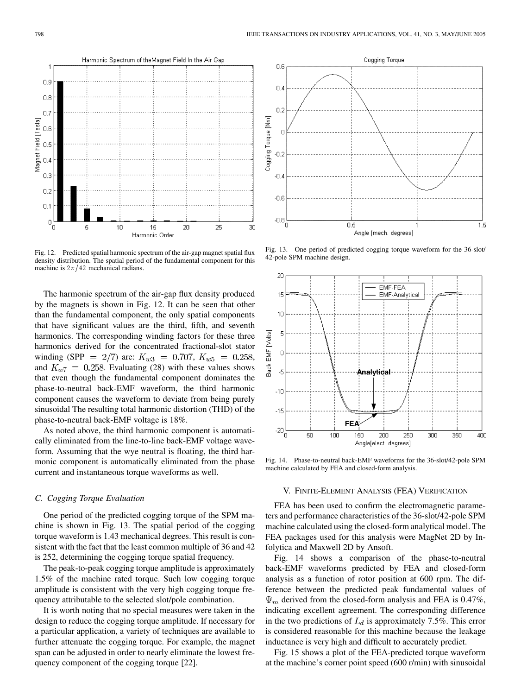

Fig. 12. Predicted spatial harmonic spectrum of the air-gap magnet spatial flux density distribution. The spatial period of the fundamental component for this machine is  $2\pi/42$  mechanical radians.

The harmonic spectrum of the air-gap flux density produced by the magnets is shown in Fig. 12. It can be seen that other than the fundamental component, the only spatial components that have significant values are the third, fifth, and seventh harmonics. The corresponding winding factors for these three harmonics derived for the concentrated fractional-slot stator winding (SPP = 2/7) are:  $K_{w3} = 0.707$ ,  $K_{w5} = 0.258$ , and  $K_{w7} = 0.258$ . Evaluating (28) with these values shows that even though the fundamental component dominates the phase-to-neutral back-EMF waveform, the third harmonic component causes the waveform to deviate from being purely sinusoidal The resulting total harmonic distortion (THD) of the phase-to-neutral back-EMF voltage is 18%.

As noted above, the third harmonic component is automatically eliminated from the line-to-line back-EMF voltage waveform. Assuming that the wye neutral is floating, the third harmonic component is automatically eliminated from the phase current and instantaneous torque waveforms as well.

## *C. Cogging Torque Evaluation*

One period of the predicted cogging torque of the SPM machine is shown in Fig. 13. The spatial period of the cogging torque waveform is 1.43 mechanical degrees. This result is consistent with the fact that the least common multiple of 36 and 42 is 252, determining the cogging torque spatial frequency.

The peak-to-peak cogging torque amplitude is approximately 1.5% of the machine rated torque. Such low cogging torque amplitude is consistent with the very high cogging torque frequency attributable to the selected slot/pole combination.

It is worth noting that no special measures were taken in the design to reduce the cogging torque amplitude. If necessary for a particular application, a variety of techniques are available to further attenuate the cogging torque. For example, the magnet span can be adjusted in order to nearly eliminate the lowest frequency component of the cogging torque [[22\]](#page-10-0).



Fig. 13. One period of predicted cogging torque waveform for the 36-slot/ 42-pole SPM machine design.



Fig. 14. Phase-to-neutral back-EMF waveforms for the 36-slot/42-pole SPM machine calculated by FEA and closed-form analysis.

## V. FINITE-ELEMENT ANALYSIS (FEA) VERIFICATION

FEA has been used to confirm the electromagnetic parameters and performance characteristics of the 36-slot/42-pole SPM machine calculated using the closed-form analytical model. The FEA packages used for this analysis were MagNet 2D by Infolytica and Maxwell 2D by Ansoft.

Fig. 14 shows a comparison of the phase-to-neutral back-EMF waveforms predicted by FEA and closed-form analysis as a function of rotor position at 600 rpm. The difference between the predicted peak fundamental values of  $\Psi_m$  derived from the closed-form analysis and FEA is 0.47%, indicating excellent agreement. The corresponding difference in the two predictions of  $L_d$  is approximately 7.5%. This error is considered reasonable for this machine because the leakage inductance is very high and difficult to accurately predict.

Fig. 15 shows a plot of the FEA-predicted torque waveform at the machine's corner point speed (600 r/min) with sinusoidal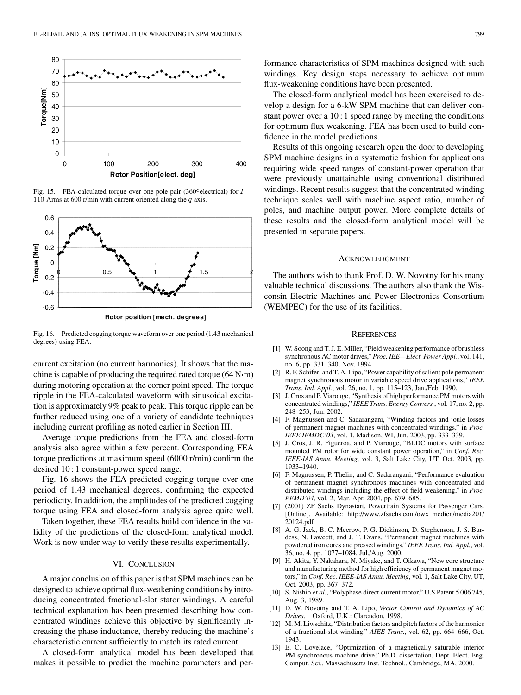<span id="page-9-0"></span>

Fig. 15. FEA-calculated torque over one pole pair (360 $^{\circ}$ electrical) for  $I =$ 110 Arms at 600 r/min with current oriented along the  $q$  axis.



Fig. 16. Predicted cogging torque waveform over one period (1.43 mechanical degrees) using FEA.

current excitation (no current harmonics). It shows that the machine is capable of producing the required rated torque  $(64 \text{ N} \cdot \text{m})$ during motoring operation at the corner point speed. The torque ripple in the FEA-calculated waveform with sinusoidal excitation is approximately 9% peak to peak. This torque ripple can be further reduced using one of a variety of candidate techniques including current profiling as noted earlier in Section III.

Average torque predictions from the FEA and closed-form analysis also agree within a few percent. Corresponding FEA torque predictions at maximum speed (6000 r/min) confirm the desired 10 : 1 constant-power speed range.

Fig. 16 shows the FEA-predicted cogging torque over one period of 1.43 mechanical degrees, confirming the expected periodicity. In addition, the amplitudes of the predicted cogging torque using FEA and closed-form analysis agree quite well.

Taken together, these FEA results build confidence in the validity of the predictions of the closed-form analytical model. Work is now under way to verify these results experimentally.

## VI. CONCLUSION

A major conclusion of this paper is that SPM machines can be designed to achieve optimal flux-weakening conditions by introducing concentrated fractional-slot stator windings. A careful technical explanation has been presented describing how concentrated windings achieve this objective by significantly increasing the phase inductance, thereby reducing the machine's characteristic current sufficiently to match its rated current.

A closed-form analytical model has been developed that makes it possible to predict the machine parameters and performance characteristics of SPM machines designed with such windings. Key design steps necessary to achieve optimum flux-weakening conditions have been presented.

The closed-form analytical model has been exercised to develop a design for a 6-kW SPM machine that can deliver constant power over a 10 : 1 speed range by meeting the conditions for optimum flux weakening. FEA has been used to build confidence in the model predictions.

Results of this ongoing research open the door to developing SPM machine designs in a systematic fashion for applications requiring wide speed ranges of constant-power operation that were previously unattainable using conventional distributed windings. Recent results suggest that the concentrated winding technique scales well with machine aspect ratio, number of poles, and machine output power. More complete details of these results and the closed-form analytical model will be presented in separate papers.

## ACKNOWLEDGMENT

The authors wish to thank Prof. D. W. Novotny for his many valuable technical discussions. The authors also thank the Wisconsin Electric Machines and Power Electronics Consortium (WEMPEC) for the use of its facilities.

#### **REFERENCES**

- [1] W. Soong and T. J. E. Miller, "Field weakening performance of brushless synchronous AC motor drives," *Proc. IEE—Elect. Power Appl.*, vol. 141, no. 6, pp. 331–340, Nov. 1994.
- [2] R. F. Schiferl and T. A. Lipo, "Power capability of salient pole permanent magnet synchronous motor in variable speed drive applications," *IEEE Trans. Ind. Appl.*, vol. 26, no. 1, pp. 115–123, Jan./Feb. 1990.
- [3] J. Cros and P. Viarouge, "Synthesis of high performance PM motors with concentrated windings," *IEEE Trans. Energy Convers.*, vol. 17, no. 2, pp. 248–253, Jun. 2002.
- [4] F. Magnussen and C. Sadarangani, "Winding factors and joule losses of permanent magnet machines with concentrated windings," in *Proc. IEEE IEMDC'03*, vol. 1, Madison, WI, Jun. 2003, pp. 333–339.
- [5] J. Cros, J. R. Figueroa, and P. Viarouge, "BLDC motors with surface mounted PM rotor for wide constant power operation," in *Conf. Rec. IEEE-IAS Annu. Meeting*, vol. 3, Salt Lake City, UT, Oct. 2003, pp. 1933–1940.
- [6] F. Magnussen, P. Thelin, and C. Sadarangani, "Performance evaluation of permanent magnet synchronous machines with concentrated and distributed windings including the effect of field weakening," in *Proc. PEMD'04*, vol. 2, Mar.-Apr. 2004, pp. 679–685.
- [7] (2001) ZF Sachs Dynastart, Powertrain Systems for Passenger Cars. [Online]. Available: http://www.zfsachs.com/owx\_medien/media201/ 20124.pdf
- [8] A. G. Jack, B. C. Mecrow, P. G. Dickinson, D. Stephenson, J. S. Burdess, N. Fawcett, and J. T. Evans, "Permanent magnet machines with powdered iron cores and pressed windings," *IEEE Trans. Ind. Appl.*, vol. 36, no. 4, pp. 1077–1084, Jul./Aug. 2000.
- [9] H. Akita, Y. Nakahara, N. Miyake, and T. Oikawa, "New core structure and manufacturing method for high efficiency of permanent magnet motors," in *Conf. Rec. IEEE-IAS Annu. Meeting*, vol. 1, Salt Lake City, UT, Oct. 2003, pp. 367–372.
- [10] S. Nishio *et al.*, "Polyphase direct current motor," U.S Patent 5 006 745, Aug. 3, 1989.
- [11] D. W. Novotny and T. A. Lipo, *Vector Control and Dynamics of AC Drives*. Oxford, U.K.: Clarendon, 1998.
- [12] M. M. Liwschitz, "Distribution factors and pitch factors of the harmonics of a fractional-slot winding," *AIEE Trans.*, vol. 62, pp. 664–666, Oct. 1943.
- [13] E. C. Lovelace, "Optimization of a magnetically saturable interior PM synchronous machine drive," Ph.D. dissertation, Dept. Elect. Eng. Comput. Sci., Massachusetts Inst. Technol., Cambridge, MA, 2000.